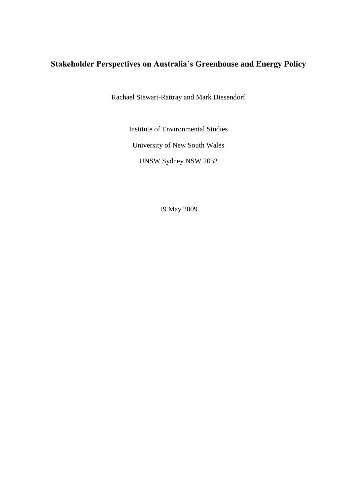# **Stakeholder Perspectives on Australia's Greenhouse and Energy Policy**

Rachael Stewart-Rattray and Mark Diesendorf

Institute of Environmental Studies

University of New South Wales

UNSW Sydney NSW 2052

19 May 2009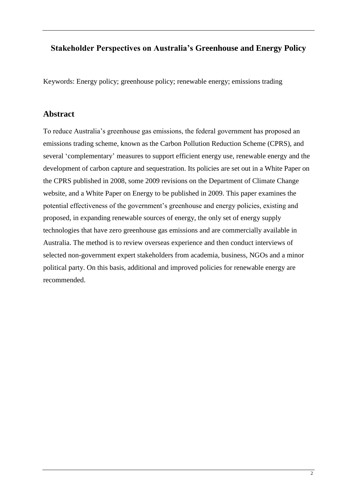## **Stakeholder Perspectives on Australia's Greenhouse and Energy Policy**

Keywords: Energy policy; greenhouse policy; renewable energy; emissions trading

## **Abstract**

To reduce Australia's greenhouse gas emissions, the federal government has proposed an emissions trading scheme, known as the Carbon Pollution Reduction Scheme (CPRS), and several 'complementary' measures to support efficient energy use, renewable energy and the development of carbon capture and sequestration. Its policies are set out in a White Paper on the CPRS published in 2008, some 2009 revisions on the Department of Climate Change website, and a White Paper on Energy to be published in 2009. This paper examines the potential effectiveness of the government's greenhouse and energy policies, existing and proposed, in expanding renewable sources of energy, the only set of energy supply technologies that have zero greenhouse gas emissions and are commercially available in Australia. The method is to review overseas experience and then conduct interviews of selected non-government expert stakeholders from academia, business, NGOs and a minor political party. On this basis, additional and improved policies for renewable energy are recommended.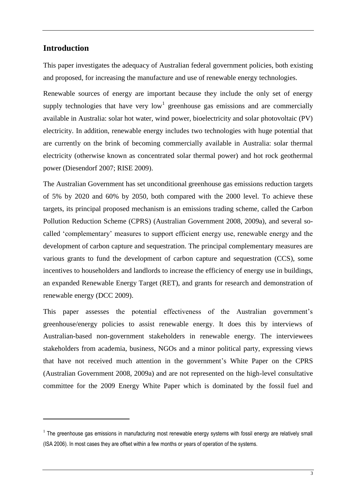## **Introduction**

<u>.</u>

This paper investigates the adequacy of Australian federal government policies, both existing and proposed, for increasing the manufacture and use of renewable energy technologies.

Renewable sources of energy are important because they include the only set of energy supply technologies that have very  $low<sup>1</sup>$  greenhouse gas emissions and are commercially available in Australia: solar hot water, wind power, bioelectricity and solar photovoltaic (PV) electricity. In addition, renewable energy includes two technologies with huge potential that are currently on the brink of becoming commercially available in Australia: solar thermal electricity (otherwise known as concentrated solar thermal power) and hot rock geothermal power (Diesendorf 2007; RISE 2009).

The Australian Government has set unconditional greenhouse gas emissions reduction targets of 5% by 2020 and 60% by 2050, both compared with the 2000 level. To achieve these targets, its principal proposed mechanism is an emissions trading scheme, called the Carbon Pollution Reduction Scheme (CPRS) (Australian Government 2008, 2009a), and several socalled 'complementary' measures to support efficient energy use, renewable energy and the development of carbon capture and sequestration. The principal complementary measures are various grants to fund the development of carbon capture and sequestration (CCS), some incentives to householders and landlords to increase the efficiency of energy use in buildings, an expanded Renewable Energy Target (RET), and grants for research and demonstration of renewable energy (DCC 2009).

This paper assesses the potential effectiveness of the Australian government's greenhouse/energy policies to assist renewable energy. It does this by interviews of Australian-based non-government stakeholders in renewable energy. The interviewees stakeholders from academia, business, NGOs and a minor political party, expressing views that have not received much attention in the government's White Paper on the CPRS (Australian Government 2008, 2009a) and are not represented on the high-level consultative committee for the 2009 Energy White Paper which is dominated by the fossil fuel and

 $1$  The greenhouse gas emissions in manufacturing most renewable energy systems with fossil energy are relatively small (ISA 2006). In most cases they are offset within a few months or years of operation of the systems.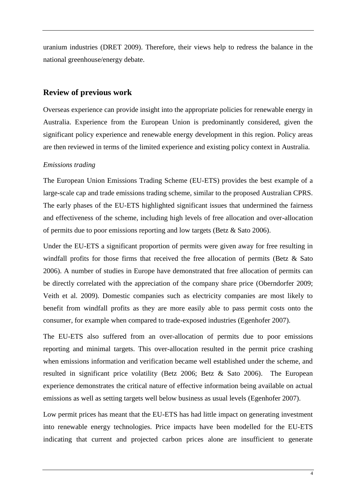uranium industries (DRET 2009). Therefore, their views help to redress the balance in the national greenhouse/energy debate.

#### **Review of previous work**

Overseas experience can provide insight into the appropriate policies for renewable energy in Australia. Experience from the European Union is predominantly considered, given the significant policy experience and renewable energy development in this region. Policy areas are then reviewed in terms of the limited experience and existing policy context in Australia.

#### *Emissions trading*

The European Union Emissions Trading Scheme (EU-ETS) provides the best example of a large-scale cap and trade emissions trading scheme, similar to the proposed Australian CPRS. The early phases of the EU-ETS highlighted significant issues that undermined the fairness and effectiveness of the scheme, including high levels of free allocation and over-allocation of permits due to poor emissions reporting and low targets (Betz & Sato 2006).

Under the EU-ETS a significant proportion of permits were given away for free resulting in windfall profits for those firms that received the free allocation of permits (Betz & Sato 2006). A number of studies in Europe have demonstrated that free allocation of permits can be directly correlated with the appreciation of the company share price (Oberndorfer 2009; Veith et al. 2009). Domestic companies such as electricity companies are most likely to benefit from windfall profits as they are more easily able to pass permit costs onto the consumer, for example when compared to trade-exposed industries (Egenhofer 2007).

The EU-ETS also suffered from an over-allocation of permits due to poor emissions reporting and minimal targets. This over-allocation resulted in the permit price crashing when emissions information and verification became well established under the scheme, and resulted in significant price volatility (Betz 2006; Betz & Sato 2006). The European experience demonstrates the critical nature of effective information being available on actual emissions as well as setting targets well below business as usual levels (Egenhofer 2007).

Low permit prices has meant that the EU-ETS has had little impact on generating investment into renewable energy technologies. Price impacts have been modelled for the EU-ETS indicating that current and projected carbon prices alone are insufficient to generate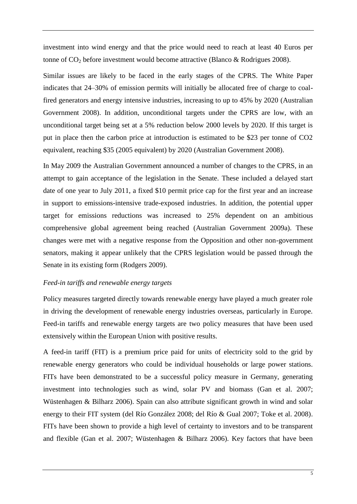investment into wind energy and that the price would need to reach at least 40 Euros per tonne of  $CO<sub>2</sub>$  before investment would become attractive (Blanco & Rodrigues 2008).

Similar issues are likely to be faced in the early stages of the CPRS. The White Paper indicates that 24–30% of emission permits will initially be allocated free of charge to coalfired generators and energy intensive industries, increasing to up to 45% by 2020 (Australian Government 2008). In addition, unconditional targets under the CPRS are low, with an unconditional target being set at a 5% reduction below 2000 levels by 2020. If this target is put in place then the carbon price at introduction is estimated to be \$23 per tonne of CO2 equivalent, reaching \$35 (2005 equivalent) by 2020 (Australian Government 2008).

In May 2009 the Australian Government announced a number of changes to the CPRS, in an attempt to gain acceptance of the legislation in the Senate. These included a delayed start date of one year to July 2011, a fixed \$10 permit price cap for the first year and an increase in support to emissions-intensive trade-exposed industries. In addition, the potential upper target for emissions reductions was increased to 25% dependent on an ambitious comprehensive global agreement being reached (Australian Government 2009a). These changes were met with a negative response from the Opposition and other non-government senators, making it appear unlikely that the CPRS legislation would be passed through the Senate in its existing form (Rodgers 2009).

#### *Feed-in tariffs and renewable energy targets*

Policy measures targeted directly towards renewable energy have played a much greater role in driving the development of renewable energy industries overseas, particularly in Europe. Feed-in tariffs and renewable energy targets are two policy measures that have been used extensively within the European Union with positive results.

A feed-in tariff (FIT) is a premium price paid for units of electricity sold to the grid by renewable energy generators who could be individual households or large power stations. FITs have been demonstrated to be a successful policy measure in Germany, generating investment into technologies such as wind, solar PV and biomass (Gan et al. 2007; Wüstenhagen & Bilharz 2006). Spain can also attribute significant growth in wind and solar energy to their FIT system (del Río González 2008; del Río & Gual 2007; Toke et al. 2008). FITs have been shown to provide a high level of certainty to investors and to be transparent and flexible (Gan et al. 2007; Wüstenhagen & Bilharz 2006). Key factors that have been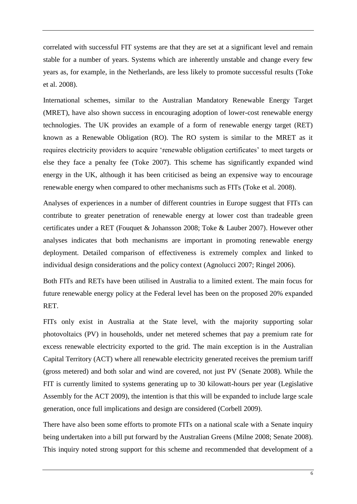correlated with successful FIT systems are that they are set at a significant level and remain stable for a number of years. Systems which are inherently unstable and change every few years as, for example, in the Netherlands, are less likely to promote successful results (Toke et al. 2008).

International schemes, similar to the Australian Mandatory Renewable Energy Target (MRET), have also shown success in encouraging adoption of lower-cost renewable energy technologies. The UK provides an example of a form of renewable energy target (RET) known as a Renewable Obligation (RO). The RO system is similar to the MRET as it requires electricity providers to acquire 'renewable obligation certificates' to meet targets or else they face a penalty fee (Toke 2007). This scheme has significantly expanded wind energy in the UK, although it has been criticised as being an expensive way to encourage renewable energy when compared to other mechanisms such as FITs (Toke et al. 2008).

Analyses of experiences in a number of different countries in Europe suggest that FITs can contribute to greater penetration of renewable energy at lower cost than tradeable green certificates under a RET (Fouquet & Johansson 2008; Toke & Lauber 2007). However other analyses indicates that both mechanisms are important in promoting renewable energy deployment. Detailed comparison of effectiveness is extremely complex and linked to individual design considerations and the policy context (Agnolucci 2007; Ringel 2006).

Both FITs and RETs have been utilised in Australia to a limited extent. The main focus for future renewable energy policy at the Federal level has been on the proposed 20% expanded RET.

FITs only exist in Australia at the State level, with the majority supporting solar photovoltaics (PV) in households, under net metered schemes that pay a premium rate for excess renewable electricity exported to the grid. The main exception is in the Australian Capital Territory (ACT) where all renewable electricity generated receives the premium tariff (gross metered) and both solar and wind are covered, not just PV (Senate 2008). While the FIT is currently limited to systems generating up to 30 kilowatt-hours per year (Legislative Assembly for the ACT 2009), the intention is that this will be expanded to include large scale generation, once full implications and design are considered (Corbell 2009).

There have also been some efforts to promote FITs on a national scale with a Senate inquiry being undertaken into a bill put forward by the Australian Greens (Milne 2008; Senate 2008). This inquiry noted strong support for this scheme and recommended that development of a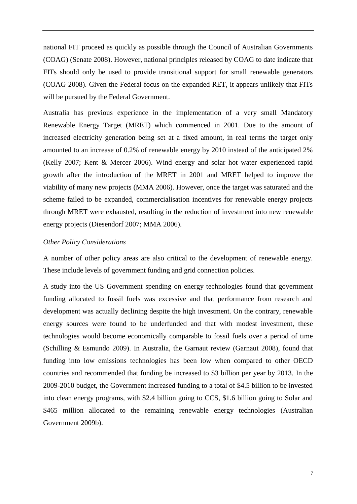national FIT proceed as quickly as possible through the Council of Australian Governments (COAG) (Senate 2008). However, national principles released by COAG to date indicate that FITs should only be used to provide transitional support for small renewable generators (COAG 2008). Given the Federal focus on the expanded RET, it appears unlikely that FITs will be pursued by the Federal Government.

Australia has previous experience in the implementation of a very small Mandatory Renewable Energy Target (MRET) which commenced in 2001. Due to the amount of increased electricity generation being set at a fixed amount, in real terms the target only amounted to an increase of 0.2% of renewable energy by 2010 instead of the anticipated 2% (Kelly 2007; Kent & Mercer 2006). Wind energy and solar hot water experienced rapid growth after the introduction of the MRET in 2001 and MRET helped to improve the viability of many new projects (MMA 2006). However, once the target was saturated and the scheme failed to be expanded, commercialisation incentives for renewable energy projects through MRET were exhausted, resulting in the reduction of investment into new renewable energy projects (Diesendorf 2007; MMA 2006).

#### *Other Policy Considerations*

A number of other policy areas are also critical to the development of renewable energy. These include levels of government funding and grid connection policies.

A study into the US Government spending on energy technologies found that government funding allocated to fossil fuels was excessive and that performance from research and development was actually declining despite the high investment. On the contrary, renewable energy sources were found to be underfunded and that with modest investment, these technologies would become economically comparable to fossil fuels over a period of time (Schilling & Esmundo 2009). In Australia, the Garnaut review (Garnaut 2008), found that funding into low emissions technologies has been low when compared to other OECD countries and recommended that funding be increased to \$3 billion per year by 2013. In the 2009-2010 budget, the Government increased funding to a total of \$4.5 billion to be invested into clean energy programs, with \$2.4 billion going to CCS, \$1.6 billion going to Solar and \$465 million allocated to the remaining renewable energy technologies (Australian Government 2009b).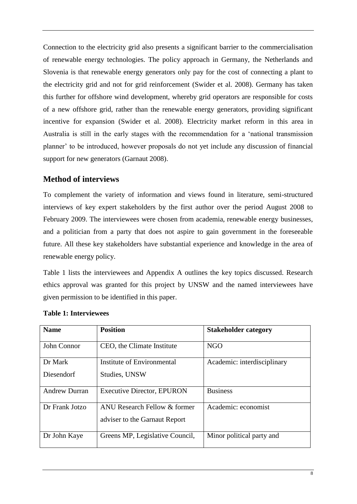Connection to the electricity grid also presents a significant barrier to the commercialisation of renewable energy technologies. The policy approach in Germany, the Netherlands and Slovenia is that renewable energy generators only pay for the cost of connecting a plant to the electricity grid and not for grid reinforcement (Swider et al. 2008). Germany has taken this further for offshore wind development, whereby grid operators are responsible for costs of a new offshore grid, rather than the renewable energy generators, providing significant incentive for expansion (Swider et al. 2008). Electricity market reform in this area in Australia is still in the early stages with the recommendation for a 'national transmission planner' to be introduced, however proposals do not yet include any discussion of financial support for new generators (Garnaut 2008).

## **Method of interviews**

To complement the variety of information and views found in literature, semi-structured interviews of key expert stakeholders by the first author over the period August 2008 to February 2009. The interviewees were chosen from academia, renewable energy businesses, and a politician from a party that does not aspire to gain government in the foreseeable future. All these key stakeholders have substantial experience and knowledge in the area of renewable energy policy.

[Table 1](#page-7-0) lists the interviewees and Appendix A outlines the key topics discussed. Research ethics approval was granted for this project by UNSW and the named interviewees have given permission to be identified in this paper.

| <b>Name</b>          | <b>Position</b>                                               | <b>Stakeholder category</b> |
|----------------------|---------------------------------------------------------------|-----------------------------|
| John Connor          | CEO, the Climate Institute                                    | <b>NGO</b>                  |
| Dr Mark              | Institute of Environmental                                    | Academic: interdisciplinary |
| Diesendorf           | Studies, UNSW                                                 |                             |
| <b>Andrew Durran</b> | <b>Executive Director, EPURON</b>                             | <b>Business</b>             |
| Dr Frank Jotzo       | ANU Research Fellow & former<br>adviser to the Garnaut Report | Academic: economist         |
| Dr John Kaye         | Greens MP, Legislative Council,                               | Minor political party and   |

### <span id="page-7-0"></span>**Table 1: Interviewees**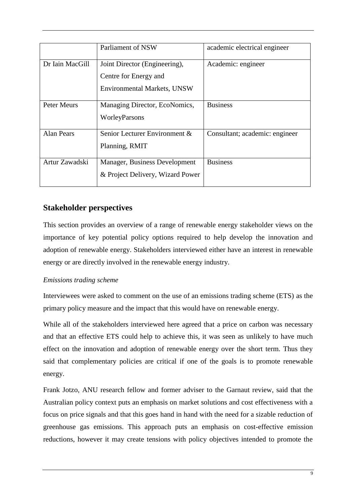|                    | Parliament of NSW                                                                            | academic electrical engineer   |
|--------------------|----------------------------------------------------------------------------------------------|--------------------------------|
| Dr Iain MacGill    | Joint Director (Engineering),<br>Centre for Energy and<br><b>Environmental Markets, UNSW</b> | Academic: engineer             |
| <b>Peter Meurs</b> | Managing Director, EcoNomics,<br>WorleyParsons                                               | <b>Business</b>                |
| <b>Alan Pears</b>  | Senior Lecturer Environment &<br>Planning, RMIT                                              | Consultant; academic: engineer |
| Artur Zawadski     | Manager, Business Development<br>& Project Delivery, Wizard Power                            | <b>Business</b>                |

## **Stakeholder perspectives**

This section provides an overview of a range of renewable energy stakeholder views on the importance of key potential policy options required to help develop the innovation and adoption of renewable energy. Stakeholders interviewed either have an interest in renewable energy or are directly involved in the renewable energy industry.

## *Emissions trading scheme*

Interviewees were asked to comment on the use of an emissions trading scheme (ETS) as the primary policy measure and the impact that this would have on renewable energy.

While all of the stakeholders interviewed here agreed that a price on carbon was necessary and that an effective ETS could help to achieve this, it was seen as unlikely to have much effect on the innovation and adoption of renewable energy over the short term. Thus they said that complementary policies are critical if one of the goals is to promote renewable energy.

Frank Jotzo, ANU research fellow and former adviser to the Garnaut review, said that the Australian policy context puts an emphasis on market solutions and cost effectiveness with a focus on price signals and that this goes hand in hand with the need for a sizable reduction of greenhouse gas emissions. This approach puts an emphasis on cost-effective emission reductions, however it may create tensions with policy objectives intended to promote the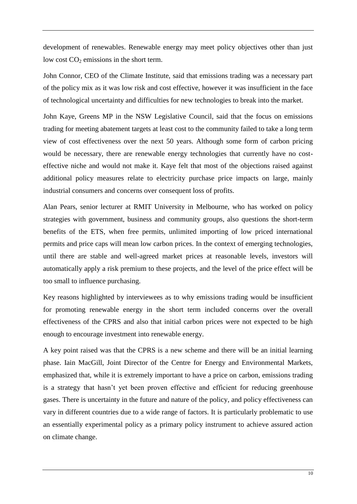development of renewables. Renewable energy may meet policy objectives other than just low cost  $CO<sub>2</sub>$  emissions in the short term.

John Connor, CEO of the Climate Institute, said that emissions trading was a necessary part of the policy mix as it was low risk and cost effective, however it was insufficient in the face of technological uncertainty and difficulties for new technologies to break into the market.

John Kaye, Greens MP in the NSW Legislative Council, said that the focus on emissions trading for meeting abatement targets at least cost to the community failed to take a long term view of cost effectiveness over the next 50 years. Although some form of carbon pricing would be necessary, there are renewable energy technologies that currently have no costeffective niche and would not make it. Kaye felt that most of the objections raised against additional policy measures relate to electricity purchase price impacts on large, mainly industrial consumers and concerns over consequent loss of profits.

Alan Pears, senior lecturer at RMIT University in Melbourne, who has worked on policy strategies with government, business and community groups, also questions the short-term benefits of the ETS, when free permits, unlimited importing of low priced international permits and price caps will mean low carbon prices. In the context of emerging technologies, until there are stable and well-agreed market prices at reasonable levels, investors will automatically apply a risk premium to these projects, and the level of the price effect will be too small to influence purchasing.

Key reasons highlighted by interviewees as to why emissions trading would be insufficient for promoting renewable energy in the short term included concerns over the overall effectiveness of the CPRS and also that initial carbon prices were not expected to be high enough to encourage investment into renewable energy.

A key point raised was that the CPRS is a new scheme and there will be an initial learning phase. Iain MacGill, Joint Director of the Centre for Energy and Environmental Markets, emphasized that, while it is extremely important to have a price on carbon, emissions trading is a strategy that hasn't yet been proven effective and efficient for reducing greenhouse gases. There is uncertainty in the future and nature of the policy, and policy effectiveness can vary in different countries due to a wide range of factors. It is particularly problematic to use an essentially experimental policy as a primary policy instrument to achieve assured action on climate change.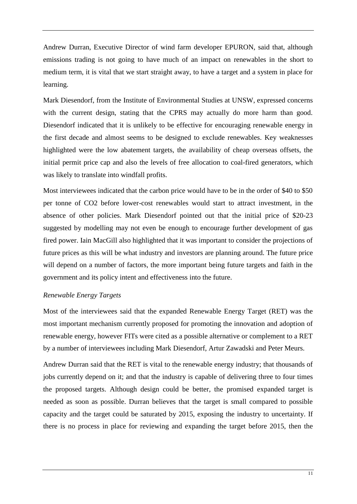Andrew Durran, Executive Director of wind farm developer EPURON, said that, although emissions trading is not going to have much of an impact on renewables in the short to medium term, it is vital that we start straight away, to have a target and a system in place for learning.

Mark Diesendorf, from the Institute of Environmental Studies at UNSW, expressed concerns with the current design, stating that the CPRS may actually do more harm than good. Diesendorf indicated that it is unlikely to be effective for encouraging renewable energy in the first decade and almost seems to be designed to exclude renewables. Key weaknesses highlighted were the low abatement targets, the availability of cheap overseas offsets, the initial permit price cap and also the levels of free allocation to coal-fired generators, which was likely to translate into windfall profits.

Most interviewees indicated that the carbon price would have to be in the order of \$40 to \$50 per tonne of CO2 before lower-cost renewables would start to attract investment, in the absence of other policies. Mark Diesendorf pointed out that the initial price of \$20-23 suggested by modelling may not even be enough to encourage further development of gas fired power. Iain MacGill also highlighted that it was important to consider the projections of future prices as this will be what industry and investors are planning around. The future price will depend on a number of factors, the more important being future targets and faith in the government and its policy intent and effectiveness into the future.

#### *Renewable Energy Targets*

Most of the interviewees said that the expanded Renewable Energy Target (RET) was the most important mechanism currently proposed for promoting the innovation and adoption of renewable energy, however FITs were cited as a possible alternative or complement to a RET by a number of interviewees including Mark Diesendorf, Artur Zawadski and Peter Meurs.

Andrew Durran said that the RET is vital to the renewable energy industry; that thousands of jobs currently depend on it; and that the industry is capable of delivering three to four times the proposed targets. Although design could be better, the promised expanded target is needed as soon as possible. Durran believes that the target is small compared to possible capacity and the target could be saturated by 2015, exposing the industry to uncertainty. If there is no process in place for reviewing and expanding the target before 2015, then the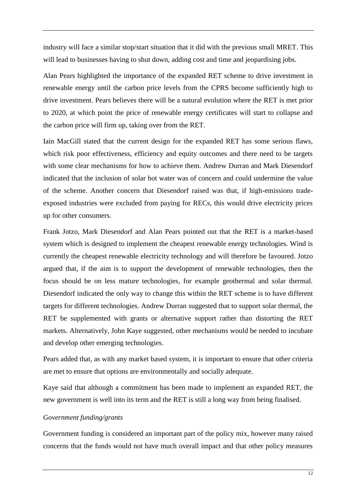industry will face a similar stop/start situation that it did with the previous small MRET. This will lead to businesses having to shut down, adding cost and time and jeopardising jobs.

Alan Pears highlighted the importance of the expanded RET scheme to drive investment in renewable energy until the carbon price levels from the CPRS become sufficiently high to drive investment. Pears believes there will be a natural evolution where the RET is met prior to 2020, at which point the price of renewable energy certificates will start to collapse and the carbon price will firm up, taking over from the RET.

Iain MacGill stated that the current design for the expanded RET has some serious flaws, which risk poor effectiveness, efficiency and equity outcomes and there need to be targets with some clear mechanisms for how to achieve them. Andrew Durran and Mark Diesendorf indicated that the inclusion of solar hot water was of concern and could undermine the value of the scheme. Another concern that Diesendorf raised was that, if high-emissions tradeexposed industries were excluded from paying for RECs, this would drive electricity prices up for other consumers.

Frank Jotzo, Mark Diesendorf and Alan Pears pointed out that the RET is a market-based system which is designed to implement the cheapest renewable energy technologies. Wind is currently the cheapest renewable electricity technology and will therefore be favoured. Jotzo argued that, if the aim is to support the development of renewable technologies, then the focus should be on less mature technologies, for example geothermal and solar thermal. Diesendorf indicated the only way to change this within the RET scheme is to have different targets for different technologies. Andrew Durran suggested that to support solar thermal, the RET be supplemented with grants or alternative support rather than distorting the RET markets. Alternatively, John Kaye suggested, other mechanisms would be needed to incubate and develop other emerging technologies.

Pears added that, as with any market based system, it is important to ensure that other criteria are met to ensure that options are environmentally and socially adequate.

Kaye said that although a commitment has been made to implement an expanded RET, the new government is well into its term and the RET is still a long way from being finalised.

#### *Government funding/grants*

Government funding is considered an important part of the policy mix, however many raised concerns that the funds would not have much overall impact and that other policy measures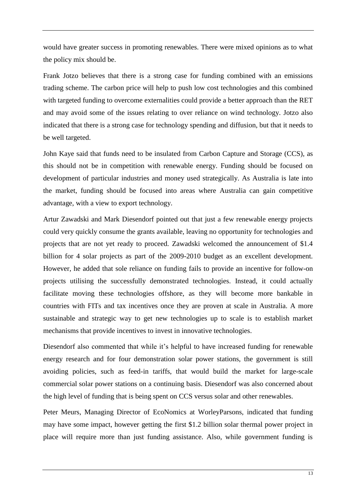would have greater success in promoting renewables. There were mixed opinions as to what the policy mix should be.

Frank Jotzo believes that there is a strong case for funding combined with an emissions trading scheme. The carbon price will help to push low cost technologies and this combined with targeted funding to overcome externalities could provide a better approach than the RET and may avoid some of the issues relating to over reliance on wind technology. Jotzo also indicated that there is a strong case for technology spending and diffusion, but that it needs to be well targeted.

John Kaye said that funds need to be insulated from Carbon Capture and Storage (CCS), as this should not be in competition with renewable energy. Funding should be focused on development of particular industries and money used strategically. As Australia is late into the market, funding should be focused into areas where Australia can gain competitive advantage, with a view to export technology.

Artur Zawadski and Mark Diesendorf pointed out that just a few renewable energy projects could very quickly consume the grants available, leaving no opportunity for technologies and projects that are not yet ready to proceed. Zawadski welcomed the announcement of \$1.4 billion for 4 solar projects as part of the 2009-2010 budget as an excellent development. However, he added that sole reliance on funding fails to provide an incentive for follow-on projects utilising the successfully demonstrated technologies. Instead, it could actually facilitate moving these technologies offshore, as they will become more bankable in countries with FITs and tax incentives once they are proven at scale in Australia. A more sustainable and strategic way to get new technologies up to scale is to establish market mechanisms that provide incentives to invest in innovative technologies.

Diesendorf also commented that while it's helpful to have increased funding for renewable energy research and for four demonstration solar power stations, the government is still avoiding policies, such as feed-in tariffs, that would build the market for large-scale commercial solar power stations on a continuing basis. Diesendorf was also concerned about the high level of funding that is being spent on CCS versus solar and other renewables.

Peter Meurs, Managing Director of EcoNomics at WorleyParsons, indicated that funding may have some impact, however getting the first \$1.2 billion solar thermal power project in place will require more than just funding assistance. Also, while government funding is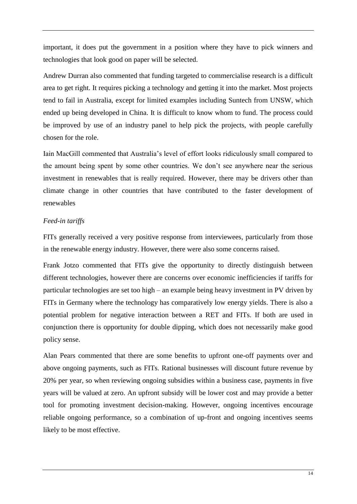important, it does put the government in a position where they have to pick winners and technologies that look good on paper will be selected.

Andrew Durran also commented that funding targeted to commercialise research is a difficult area to get right. It requires picking a technology and getting it into the market. Most projects tend to fail in Australia, except for limited examples including Suntech from UNSW, which ended up being developed in China. It is difficult to know whom to fund. The process could be improved by use of an industry panel to help pick the projects, with people carefully chosen for the role.

Iain MacGill commented that Australia's level of effort looks ridiculously small compared to the amount being spent by some other countries. We don't see anywhere near the serious investment in renewables that is really required. However, there may be drivers other than climate change in other countries that have contributed to the faster development of renewables

## *Feed-in tariffs*

FITs generally received a very positive response from interviewees, particularly from those in the renewable energy industry. However, there were also some concerns raised.

Frank Jotzo commented that FITs give the opportunity to directly distinguish between different technologies, however there are concerns over economic inefficiencies if tariffs for particular technologies are set too high – an example being heavy investment in PV driven by FITs in Germany where the technology has comparatively low energy yields. There is also a potential problem for negative interaction between a RET and FITs. If both are used in conjunction there is opportunity for double dipping, which does not necessarily make good policy sense.

Alan Pears commented that there are some benefits to upfront one-off payments over and above ongoing payments, such as FITs. Rational businesses will discount future revenue by 20% per year, so when reviewing ongoing subsidies within a business case, payments in five years will be valued at zero. An upfront subsidy will be lower cost and may provide a better tool for promoting investment decision-making. However, ongoing incentives encourage reliable ongoing performance, so a combination of up-front and ongoing incentives seems likely to be most effective.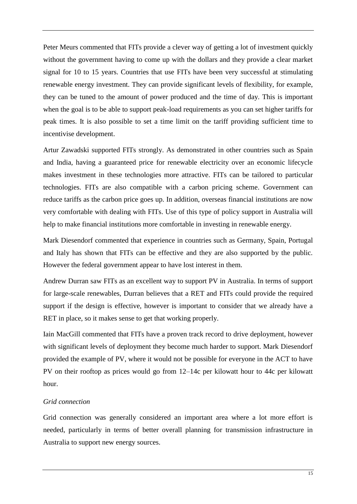Peter Meurs commented that FITs provide a clever way of getting a lot of investment quickly without the government having to come up with the dollars and they provide a clear market signal for 10 to 15 years. Countries that use FITs have been very successful at stimulating renewable energy investment. They can provide significant levels of flexibility, for example, they can be tuned to the amount of power produced and the time of day. This is important when the goal is to be able to support peak-load requirements as you can set higher tariffs for peak times. It is also possible to set a time limit on the tariff providing sufficient time to incentivise development.

Artur Zawadski supported FITs strongly. As demonstrated in other countries such as Spain and India, having a guaranteed price for renewable electricity over an economic lifecycle makes investment in these technologies more attractive. FITs can be tailored to particular technologies. FITs are also compatible with a carbon pricing scheme. Government can reduce tariffs as the carbon price goes up. In addition, overseas financial institutions are now very comfortable with dealing with FITs. Use of this type of policy support in Australia will help to make financial institutions more comfortable in investing in renewable energy.

Mark Diesendorf commented that experience in countries such as Germany, Spain, Portugal and Italy has shown that FITs can be effective and they are also supported by the public. However the federal government appear to have lost interest in them.

Andrew Durran saw FITs as an excellent way to support PV in Australia. In terms of support for large-scale renewables, Durran believes that a RET and FITs could provide the required support if the design is effective, however is important to consider that we already have a RET in place, so it makes sense to get that working properly.

Iain MacGill commented that FITs have a proven track record to drive deployment, however with significant levels of deployment they become much harder to support. Mark Diesendorf provided the example of PV, where it would not be possible for everyone in the ACT to have PV on their rooftop as prices would go from 12–14c per kilowatt hour to 44c per kilowatt hour.

#### *Grid connection*

Grid connection was generally considered an important area where a lot more effort is needed, particularly in terms of better overall planning for transmission infrastructure in Australia to support new energy sources.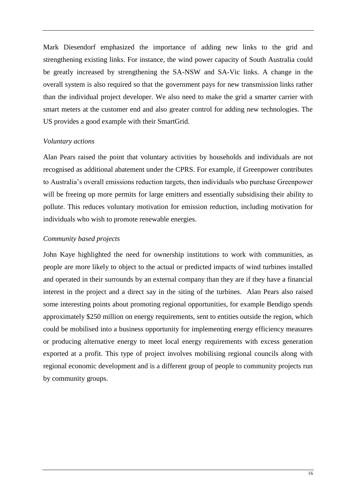Mark Diesendorf emphasized the importance of adding new links to the grid and strengthening existing links. For instance, the wind power capacity of South Australia could be greatly increased by strengthening the SA-NSW and SA-Vic links. A change in the overall system is also required so that the government pays for new transmission links rather than the individual project developer. We also need to make the grid a smarter carrier with smart meters at the customer end and also greater control for adding new technologies. The US provides a good example with their SmartGrid.

#### *Voluntary actions*

Alan Pears raised the point that voluntary activities by households and individuals are not recognised as additional abatement under the CPRS. For example, if Greenpower contributes to Australia's overall emissions reduction targets, then individuals who purchase Greenpower will be freeing up more permits for large emitters and essentially subsidising their ability to pollute. This reduces voluntary motivation for emission reduction, including motivation for individuals who wish to promote renewable energies.

#### *Community based projects*

John Kaye highlighted the need for ownership institutions to work with communities, as people are more likely to object to the actual or predicted impacts of wind turbines installed and operated in their surrounds by an external company than they are if they have a financial interest in the project and a direct say in the siting of the turbines. Alan Pears also raised some interesting points about promoting regional opportunities, for example Bendigo spends approximately \$250 million on energy requirements, sent to entities outside the region, which could be mobilised into a business opportunity for implementing energy efficiency measures or producing alternative energy to meet local energy requirements with excess generation exported at a profit. This type of project involves mobilising regional councils along with regional economic development and is a different group of people to community projects run by community groups.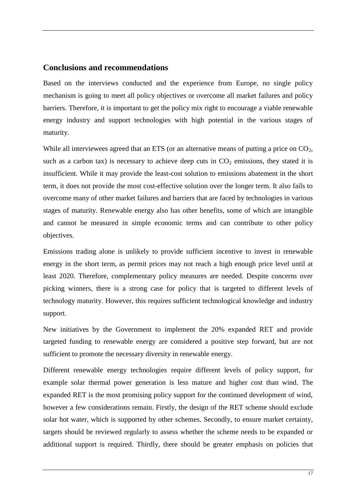## **Conclusions and recommendations**

Based on the interviews conducted and the experience from Europe, no single policy mechanism is going to meet all policy objectives or overcome all market failures and policy barriers. Therefore, it is important to get the policy mix right to encourage a viable renewable energy industry and support technologies with high potential in the various stages of maturity.

While all interviewees agreed that an ETS (or an alternative means of putting a price on CO<sub>2</sub>, such as a carbon tax) is necessary to achieve deep cuts in  $CO<sub>2</sub>$  emissions, they stated it is insufficient. While it may provide the least-cost solution to emissions abatement in the short term, it does not provide the most cost-effective solution over the longer term. It also fails to overcome many of other market failures and barriers that are faced by technologies in various stages of maturity. Renewable energy also has other benefits, some of which are intangible and cannot be measured in simple economic terms and can contribute to other policy objectives.

Emissions trading alone is unlikely to provide sufficient incentive to invest in renewable energy in the short term, as permit prices may not reach a high enough price level until at least 2020. Therefore, complementary policy measures are needed. Despite concerns over picking winners, there is a strong case for policy that is targeted to different levels of technology maturity. However, this requires sufficient technological knowledge and industry support.

New initiatives by the Government to implement the 20% expanded RET and provide targeted funding to renewable energy are considered a positive step forward, but are not sufficient to promote the necessary diversity in renewable energy.

Different renewable energy technologies require different levels of policy support, for example solar thermal power generation is less mature and higher cost than wind. The expanded RET is the most promising policy support for the continued development of wind, however a few considerations remain. Firstly, the design of the RET scheme should exclude solar hot water, which is supported by other schemes. Secondly, to ensure market certainty, targets should be reviewed regularly to assess whether the scheme needs to be expanded or additional support is required. Thirdly, there should be greater emphasis on policies that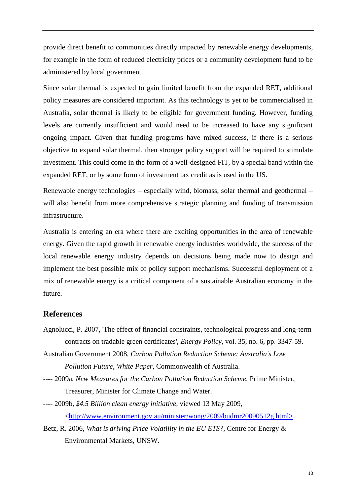provide direct benefit to communities directly impacted by renewable energy developments, for example in the form of reduced electricity prices or a community development fund to be administered by local government.

Since solar thermal is expected to gain limited benefit from the expanded RET, additional policy measures are considered important. As this technology is yet to be commercialised in Australia, solar thermal is likely to be eligible for government funding. However, funding levels are currently insufficient and would need to be increased to have any significant ongoing impact. Given that funding programs have mixed success, if there is a serious objective to expand solar thermal, then stronger policy support will be required to stimulate investment. This could come in the form of a well-designed FIT, by a special band within the expanded RET, or by some form of investment tax credit as is used in the US.

Renewable energy technologies – especially wind, biomass, solar thermal and geothermal – will also benefit from more comprehensive strategic planning and funding of transmission infrastructure.

Australia is entering an era where there are exciting opportunities in the area of renewable energy. Given the rapid growth in renewable energy industries worldwide, the success of the local renewable energy industry depends on decisions being made now to design and implement the best possible mix of policy support mechanisms. Successful deployment of a mix of renewable energy is a critical component of a sustainable Australian economy in the future.

## **References**

- Agnolucci, P. 2007, 'The effect of financial constraints, technological progress and long-term contracts on tradable green certificates', *Energy Policy*, vol. 35, no. 6, pp. 3347-59.
- Australian Government 2008, *Carbon Pollution Reduction Scheme: Australia's Low Pollution Future, White Paper*, Commonwealth of Australia.
- ---- 2009a, *New Measures for the Carbon Pollution Reduction Scheme*, Prime Minister, Treasurer, Minister for Climate Change and Water.
- ---- 2009b, *\$4.5 Billion clean energy initiative*, viewed 13 May 2009, [<http://www.environment.gov.au/minister/wong/2009/budmr20090512g.html>.](http://www.environment.gov.au/minister/wong/2009/budmr20090512g.html%3e)
- Betz, R. 2006, *What is driving Price Volatility in the EU ETS?*, Centre for Energy & Environmental Markets, UNSW.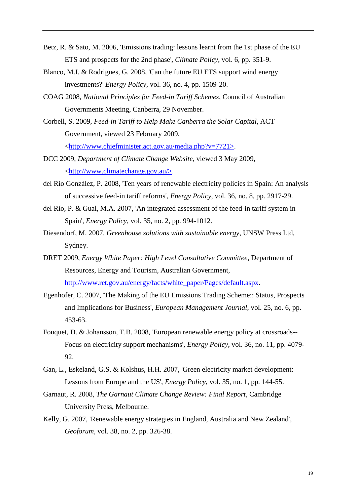- Betz, R. & Sato, M. 2006, 'Emissions trading: lessons learnt from the 1st phase of the EU ETS and prospects for the 2nd phase', *Climate Policy*, vol. 6, pp. 351-9.
- Blanco, M.I. & Rodrigues, G. 2008, 'Can the future EU ETS support wind energy investments?' *Energy Policy*, vol. 36, no. 4, pp. 1509-20.
- COAG 2008, *National Principles for Feed-in Tariff Schemes*, Council of Australian Governments Meeting, Canberra, 29 November.
- Corbell, S. 2009, *Feed-in Tariff to Help Make Canberra the Solar Capital*, ACT Government, viewed 23 February 2009, [<http://www.chiefminister.act.gov.au/media.php?v=7721>.](http://www.chiefminister.act.gov.au/media.php?v=7721%3e)
- DCC 2009, *Department of Climate Change Website*, viewed 3 May 2009, [<http://www.climatechange.gov.au/>.](http://www.climatechange.gov.au/%3e)
- del Río González, P. 2008, 'Ten years of renewable electricity policies in Spain: An analysis of successive feed-in tariff reforms', *Energy Policy*, vol. 36, no. 8, pp. 2917-29.
- del Río, P. & Gual, M.A. 2007, 'An integrated assessment of the feed-in tariff system in Spain', *Energy Policy*, vol. 35, no. 2, pp. 994-1012.
- Diesendorf, M. 2007, *Greenhouse solutions with sustainable energy*, UNSW Press Ltd, Sydney.
- DRET 2009, *Energy White Paper: High Level Consultative Committee*, Department of Resources, Energy and Tourism, Australian Government, [http://www.ret.gov.au/energy/facts/white\\_paper/Pages/default.aspx.](http://www.ret.gov.au/energy/facts/white_paper/Pages/default.aspx)
- Egenhofer, C. 2007, 'The Making of the EU Emissions Trading Scheme:: Status, Prospects and Implications for Business', *European Management Journal*, vol. 25, no. 6, pp. 453-63.
- Fouquet, D. & Johansson, T.B. 2008, 'European renewable energy policy at crossroads-- Focus on electricity support mechanisms', *Energy Policy*, vol. 36, no. 11, pp. 4079- 92.
- Gan, L., Eskeland, G.S. & Kolshus, H.H. 2007, 'Green electricity market development: Lessons from Europe and the US', *Energy Policy*, vol. 35, no. 1, pp. 144-55.
- Garnaut, R. 2008, *The Garnaut Climate Change Review: Final Report*, Cambridge University Press, Melbourne.
- Kelly, G. 2007, 'Renewable energy strategies in England, Australia and New Zealand', *Geoforum*, vol. 38, no. 2, pp. 326-38.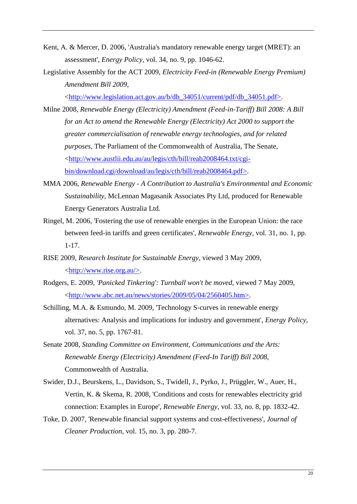- Kent, A. & Mercer, D. 2006, 'Australia's mandatory renewable energy target (MRET): an assessment', *Energy Policy*, vol. 34, no. 9, pp. 1046-62.
- Legislative Assembly for the ACT 2009, *Electricity Feed-in (Renewable Energy Premium) Amendment Bill 2009*,

[<http://www.legislation.act.gov.au/b/db\\_34051/current/pdf/db\\_34051.pdf>.](http://www.legislation.act.gov.au/b/db_34051/current/pdf/db_34051.pdf%3e)

- Milne 2008, *Renewable Energy (Electricity) Amendment (Feed-in-Tariff) Bill 2008: A Bill for an Act to amend the Renewable Energy (Electricity) Act 2000 to support the greater commercialisation of renewable energy technologies, and for related purposes*, The Parliament of the Commonwealth of Australia, The Senate, [<http://www.austlii.edu.au/au/legis/cth/bill/reab2008464.txt/cgi](http://www.austlii.edu.au/au/legis/cth/bill/reab2008464.txt/cgi-bin/download.cgi/download/au/legis/cth/bill/reab2008464.pdf%3e)[bin/download.cgi/download/au/legis/cth/bill/reab2008464.pdf>.](http://www.austlii.edu.au/au/legis/cth/bill/reab2008464.txt/cgi-bin/download.cgi/download/au/legis/cth/bill/reab2008464.pdf%3e)
- MMA 2006, *Renewable Energy - A Contribution to Australia's Environmental and Economic Sustainability*, McLennan Magasanik Associates Pty Ltd, produced for Renewable Energy Generators Australia Ltd.
- Ringel, M. 2006, 'Fostering the use of renewable energies in the European Union: the race between feed-in tariffs and green certificates', *Renewable Energy*, vol. 31, no. 1, pp. 1-17.
- RISE 2009, *Research Institute for Sustainable Energy*, viewed 3 May 2009,  $\langle \frac{http://www.rise.org.au/\rangle}{http://www.rise.org.au/\rangle}.$
- Rodgers, E. 2009, *'Panicked Tinkering': Turnball won't be moved*, viewed 7 May 2009, [<http://www.abc.net.au/news/stories/2009/05/04/2560405.htm>.](http://www.abc.net.au/news/stories/2009/05/04/2560405.htm%3e)
- Schilling, M.A. & Esmundo, M. 2009, 'Technology S-curves in renewable energy alternatives: Analysis and implications for industry and government', *Energy Policy*, vol. 37, no. 5, pp. 1767-81.
- Senate 2008, *Standing Committee on Environment, Communications and the Arts: Renewable Energy (Electricity) Amendment (Feed-In Tariff) Bill 2008*, Commonwealth of Australia.
- Swider, D.J., Beurskens, L., Davidson, S., Twidell, J., Pyrko, J., Prüggler, W., Auer, H., Vertin, K. & Skema, R. 2008, 'Conditions and costs for renewables electricity grid connection: Examples in Europe', *Renewable Energy*, vol. 33, no. 8, pp. 1832-42.
- Toke, D. 2007, 'Renewable financial support systems and cost-effectiveness', *Journal of Cleaner Production*, vol. 15, no. 3, pp. 280-7.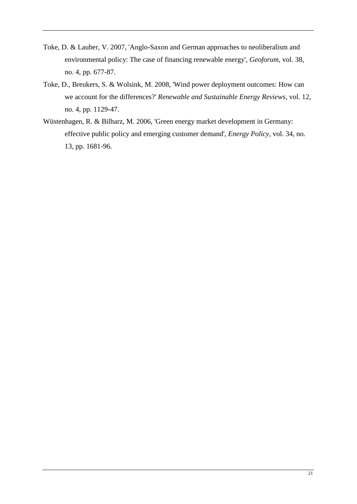- Toke, D. & Lauber, V. 2007, 'Anglo-Saxon and German approaches to neoliberalism and environmental policy: The case of financing renewable energy', *Geoforum*, vol. 38, no. 4, pp. 677-87.
- Toke, D., Breukers, S. & Wolsink, M. 2008, 'Wind power deployment outcomes: How can we account for the differences?' *Renewable and Sustainable Energy Reviews*, vol. 12, no. 4, pp. 1129-47.
- Wüstenhagen, R. & Bilharz, M. 2006, 'Green energy market development in Germany: effective public policy and emerging customer demand', *Energy Policy*, vol. 34, no. 13, pp. 1681-96.